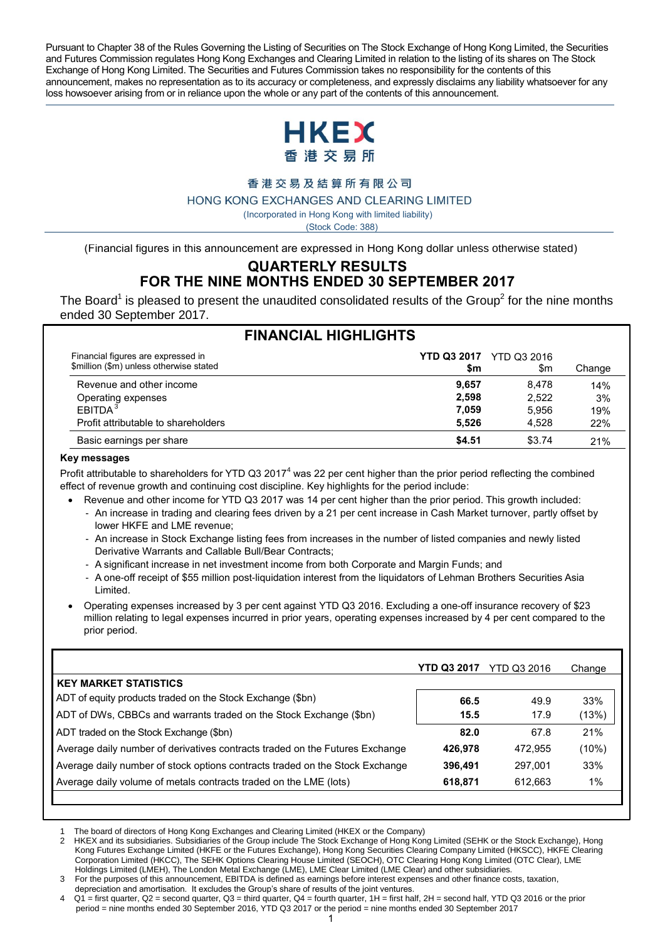Pursuant to Chapter 38 of the Rules Governing the Listing of Securities on The Stock Exchange of Hong Kong Limited, the Securities and Futures Commission regulates Hong Kong Exchanges and Clearing Limited in relation to the listing of its shares on The Stock Exchange of Hong Kong Limited. The Securities and Futures Commission takes no responsibility for the contents of this announcement, makes no representation as to its accuracy or completeness, and expressly disclaims any liability whatsoever for any loss howsoever arising from or in reliance upon the whole or any part of the contents of this announcement.



香港交易及結算所有限公司

HONG KONG EXCHANGES AND CLEARING LIMITED

( Incorporated in Hong Kong with limited liability)

(Stock Code: 388)

(Financial figures in this announcement are expressed in Hong Kong dollar unless otherwise stated)

#### **QUARTERLY RESULTS FOR THE NINE MONTHS ENDED 30 SEPTEMBER 2017**

 The Board<sup>1</sup> is pleased to present the unaudited consolidated results of the Group<sup>2</sup> for the nine months ended 30 September 2017.

| <b>FINANCIAL HIGHLIGHTS</b>                                                   |        |                                       |        |  |  |
|-------------------------------------------------------------------------------|--------|---------------------------------------|--------|--|--|
| Financial figures are expressed in<br>\$million (\$m) unless otherwise stated | \$m    | <b>YTD Q3 2017</b> YTD Q3 2016<br>\$m | Change |  |  |
| Revenue and other income                                                      | 9.657  | 8.478                                 | 14%    |  |  |
|                                                                               | 2.598  | 2,522                                 | 3%     |  |  |
| Operating expenses<br>EBITDA <sup>3</sup>                                     | 7.059  | 5.956                                 | 19%    |  |  |
| Profit attributable to shareholders                                           | 5.526  | 4.528                                 | 22%    |  |  |
| Basic earnings per share                                                      | \$4.51 | \$3.74                                | 21%    |  |  |

#### **Key messages**

Profit attributable to shareholders for YTD Q3 2017<sup>4</sup> was 22 per cent higher than the prior period reflecting the combined effect of revenue growth and continuing cost discipline. Key highlights for the period include:

- Revenue and other income for YTD Q3 2017 was 14 per cent higher than the prior period. This growth included:
	- An increase in trading and clearing fees driven by a 21 per cent increase in Cash Market turnover, partly offset by lower HKFE and LME revenue;
	- An increase in Stock Exchange listing fees from increases in the number of listed companies and newly listed Derivative Warrants and Callable Bull/Bear Contracts;
	- A significant increase in net investment income from both Corporate and Margin Funds; and
	- A one-off receipt of \$55 million post-liquidation interest from the liquidators of Lehman Brothers Securities Asia Limited.
- Operating expenses increased by 3 per cent against YTD Q3 2016. Excluding a one-off insurance recovery of \$23 million relating to legal expenses incurred in prior years, operating expenses increased by 4 per cent compared to the prior period.

|                                                                              | YTD Q3 2017 | <b>YTD Q3 2016</b> | Change   |
|------------------------------------------------------------------------------|-------------|--------------------|----------|
| <b>KEY MARKET STATISTICS</b>                                                 |             |                    |          |
| ADT of equity products traded on the Stock Exchange (\$bn)                   | 66.5        | 49.9               | 33%      |
| ADT of DWs, CBBCs and warrants traded on the Stock Exchange (\$bn)           | 15.5        | 17.9               | (13%)    |
| ADT traded on the Stock Exchange (\$bn)                                      | 82.0        | 67.8               | 21%      |
| Average daily number of derivatives contracts traded on the Futures Exchange | 426.978     | 472.955            | $(10\%)$ |
| Average daily number of stock options contracts traded on the Stock Exchange | 396.491     | 297.001            | 33%      |
| Average daily volume of metals contracts traded on the LME (lots)            | 618,871     | 612,663            | 1%       |
|                                                                              |             |                    |          |

 $\overline{a}$ 1 The board of directors of Hong Kong Exchanges and Clearing Limited (HKEX or the Company)

2 HKEX and its subsidiaries. Subsidiaries of the Group include The Stock Exchange of Hong Kong Limited (SEHK or the Stock Exchange), Hong Kong Futures Exchange Limited (HKFE or the Futures Exchange), Hong Kong Securities Clearing Company Limited (HKSCC), HKFE Clearing Corporation Limited (HKCC), The SEHK Options Clearing House Limited (SEOCH), OTC Clearing Hong Kong Limited (OTC Clear), LME Holdings Limited (LMEH), The London Metal Exchange (LME), LME Clear Limited (LME Clear) and other subsidiaries.

- 3 For the purposes of this announcement, EBITDA is defined as earnings before interest expenses and other finance costs, taxation, depreciation and amortisation. It excludes the Group's share of results of the joint ventures.
- $Q1$  = first quarter,  $Q2$  = second quarter,  $Q3$  = third quarter,  $Q4$  = fourth quarter,  $1H$  = first half,  $2H$  = second half, YTD  $Q3$  2016 or the prior period = nine months ended 30 September 2016, YTD Q3 2017 or the period = nine months ended 30 September 2017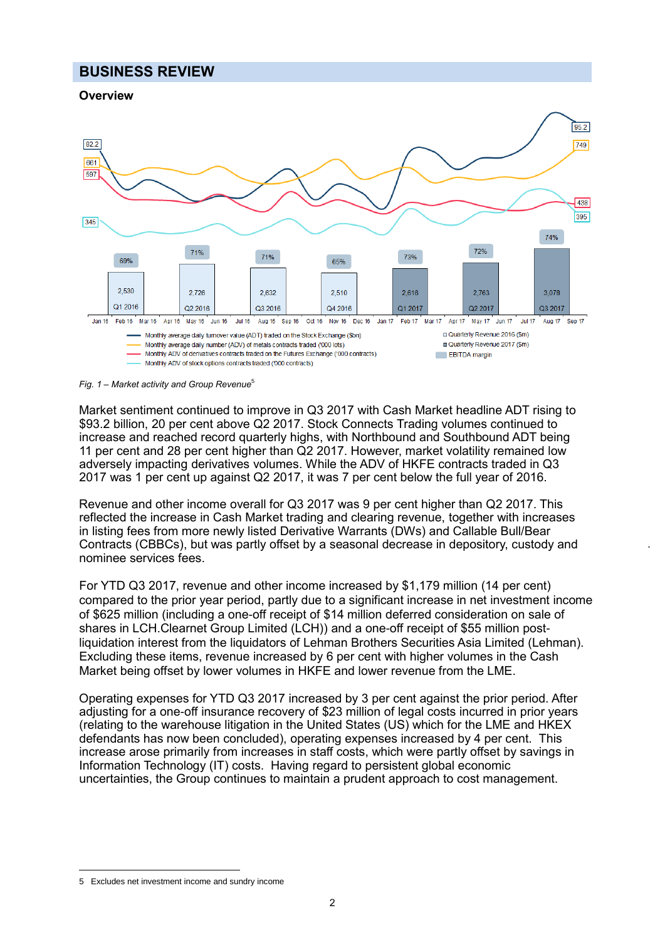# **BUSINESS REVIEW**





 $95.2$ 

*Fig. 1 – Market activity and Group Revenue*<sup>5</sup>

Market sentiment continued to improve in Q3 2017 with Cash Market headline ADT rising to \$93.2 billion, 20 per cent above Q2 2017. Stock Connects Trading volumes continued to increase and reached record quarterly highs, with Northbound and Southbound ADT being 11 per cent and 28 per cent higher than Q2 2017. However, market volatility remained low adversely impacting derivatives volumes. While the ADV of HKFE contracts traded in Q3 2017 was 1 per cent up against Q2 2017, it was 7 per cent below the full year of 2016.

Revenue and other income overall for Q3 2017 was 9 per cent higher than Q2 2017. This reflected the increase in Cash Market trading and clearing revenue, together with increases in listing fees from more newly listed Derivative Warrants (DWs) and Callable Bull/Bear Contracts (CBBCs), but was partly offset by a seasonal decrease in depository, custody and nominee services fees.

For YTD Q3 2017, revenue and other income increased by \$1,179 million (14 per cent) compared to the prior year period, partly due to a significant increase in net investment income of \$625 million (including a one-off receipt of \$14 million deferred consideration on sale of shares in LCH.Clearnet Group Limited (LCH)) and a one-off receipt of \$55 million postliquidation interest from the liquidators of Lehman Brothers Securities Asia Limited (Lehman). Excluding these items, revenue increased by 6 per cent with higher volumes in the Cash Market being offset by lower volumes in HKFE and lower revenue from the LME.

Operating expenses for YTD Q3 2017 increased by 3 per cent against the prior period. After adjusting for a one-off insurance recovery of \$23 million of legal costs incurred in prior years (relating to the warehouse litigation in the United States (US) which for the LME and HKEX defendants has now been concluded), operating expenses increased by 4 per cent. This increase arose primarily from increases in staff costs, which were partly offset by savings in Information Technology (IT) costs. Having regard to persistent global economic uncertainties, the Group continues to maintain a prudent approach to cost management.

 $\overline{a}$ 5 Excludes net investment income and sundry income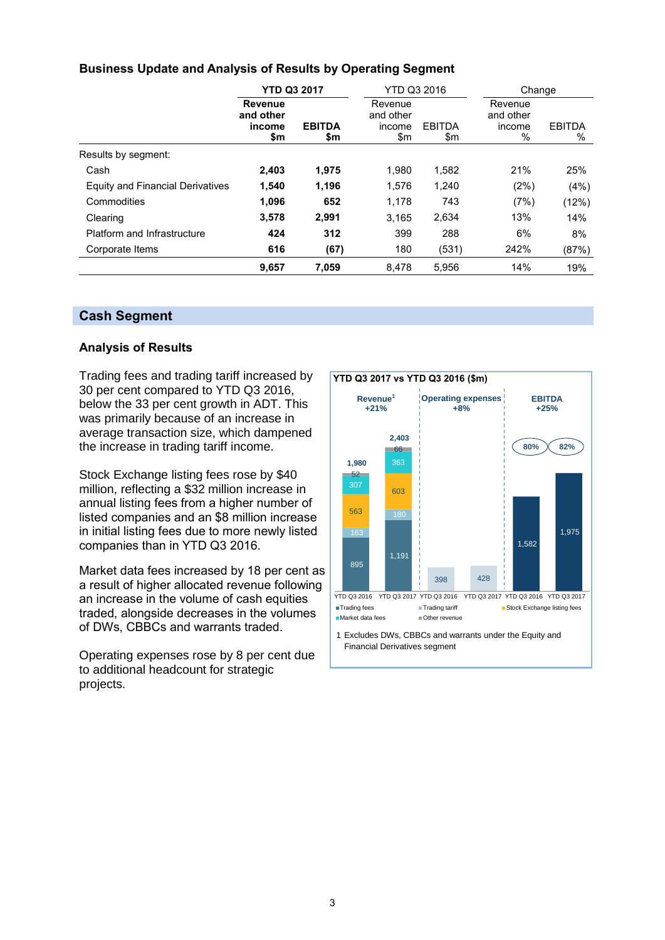# **Business Update and Analysis of Results by Operating Segment**

|                                         | <b>YTD Q3 2017</b>                           |                      | <b>YTD Q3 2016</b><br>Change          |                      |                                        |                       |
|-----------------------------------------|----------------------------------------------|----------------------|---------------------------------------|----------------------|----------------------------------------|-----------------------|
|                                         | <b>Revenue</b><br>and other<br>income<br>\$m | <b>EBITDA</b><br>\$m | Revenue<br>and other<br>income<br>\$m | <b>EBITDA</b><br>\$m | Revenue<br>and other<br>income<br>$\%$ | <b>EBITDA</b><br>$\%$ |
| Results by segment:                     |                                              |                      |                                       |                      |                                        |                       |
| Cash                                    | 2,403                                        | 1,975                | 1.980                                 | 1,582                | 21%                                    | 25%                   |
| <b>Equity and Financial Derivatives</b> | 1,540                                        | 1,196                | 1,576                                 | 1,240                | (2%)                                   | (4%)                  |
| Commodities                             | 1,096                                        | 652                  | 1,178                                 | 743                  | (7%)                                   | (12%)                 |
| Clearing                                | 3,578                                        | 2,991                | 3,165                                 | 2,634                | 13%                                    | 14%                   |
| Platform and Infrastructure             | 424                                          | 312                  | 399                                   | 288                  | 6%                                     | 8%                    |
| Corporate Items                         | 616                                          | (67)                 | 180                                   | (531)                | 242%                                   | (87%)                 |
|                                         | 9,657                                        | 7.059                | 8,478                                 | 5,956                | 14%                                    | 19%                   |

#### **Cash Segment**

#### **Analysis of Results**

Trading fees and trading tariff increased by 30 per cent compared to YTD Q3 2016, below the 33 per cent growth in ADT. This was primarily because of an increase in average transaction size, which dampened the increase in trading tariff income.

Stock Exchange listing fees rose by \$40 million, reflecting a \$32 million increase in annual listing fees from a higher number of listed companies and an \$8 million increase in initial listing fees due to more newly listed companies than in YTD Q3 2016.

Market data fees increased by 18 per cent as a result of higher allocated revenue following an increase in the volume of cash equities traded, alongside decreases in the volumes of DWs, CBBCs and warrants traded.

Operating expenses rose by 8 per cent due to additional headcount for strategic projects.

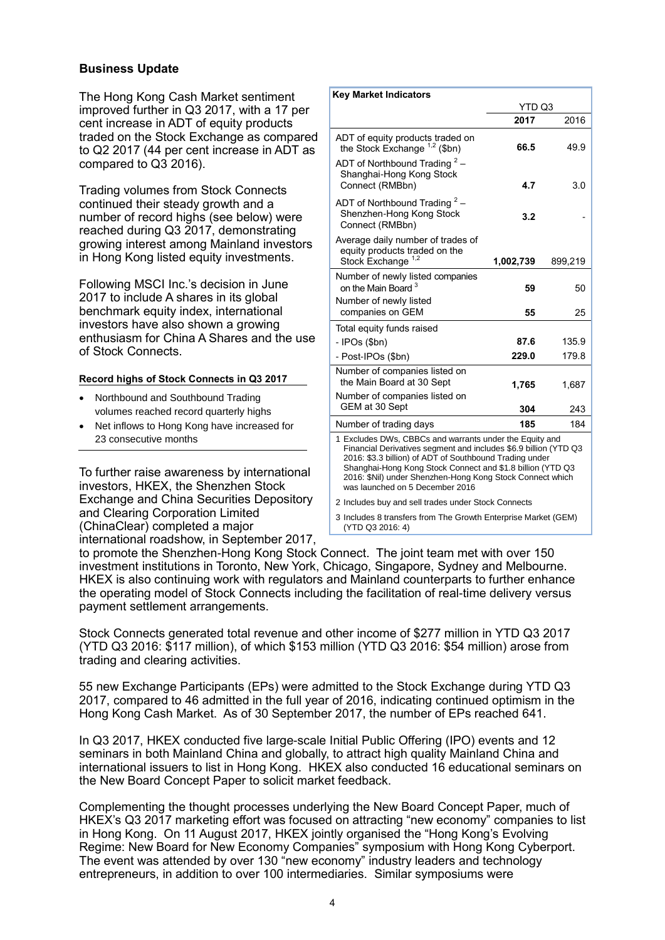#### **Business Update**

The Hong Kong Cash Market sentiment improved further in Q3 2017, with a 17 per cent increase in ADT of equity products traded on the Stock Exchange as compared to Q2 2017 (44 per cent increase in ADT as compared to Q3 2016).

Trading volumes from Stock Connects continued their steady growth and a number of record highs (see below) were reached during Q3 2017, demonstrating growing interest among Mainland investors in Hong Kong listed equity investments.

Following MSCI Inc.'s decision in June 2017 to include A shares in its global benchmark equity index, international investors have also shown a growing enthusiasm for China A Shares and the use of Stock Connects.

#### **Record highs of Stock Connects in Q3 2017**

- Northbound and Southbound Trading volumes reached record quarterly highs
- Net inflows to Hong Kong have increased for 23 consecutive months

To further raise awareness by international investors, HKEX, the Shenzhen Stock Exchange and China Securities Depository and Clearing Corporation Limited (ChinaClear) completed a major international roadshow, in September 2017,

| <b>Key Market Indicators</b>                                                                                                                                                                                                                                                                                                                         |           |         |  |
|------------------------------------------------------------------------------------------------------------------------------------------------------------------------------------------------------------------------------------------------------------------------------------------------------------------------------------------------------|-----------|---------|--|
|                                                                                                                                                                                                                                                                                                                                                      | YTD Q3    |         |  |
|                                                                                                                                                                                                                                                                                                                                                      | 2017      | 2016    |  |
| ADT of equity products traded on<br>the Stock Exchange $1,2$ (\$bn)                                                                                                                                                                                                                                                                                  | 66.5      | 49.9    |  |
| ADT of Northbound Trading $2 -$<br>Shanghai-Hong Kong Stock<br>Connect (RMBbn)                                                                                                                                                                                                                                                                       | 4.7       | 3.0     |  |
| ADT of Northbound Trading $2 -$<br>Shenzhen-Hong Kong Stock<br>Connect (RMBbn)                                                                                                                                                                                                                                                                       | 3.2       |         |  |
| Average daily number of trades of<br>equity products traded on the<br>Stock Exchange <sup>1,2</sup>                                                                                                                                                                                                                                                  | 1,002,739 | 899,219 |  |
| Number of newly listed companies<br>on the Main Board <sup>3</sup><br>Number of newly listed                                                                                                                                                                                                                                                         | 59        | 50      |  |
| companies on GEM                                                                                                                                                                                                                                                                                                                                     | 55        | 25      |  |
| Total equity funds raised                                                                                                                                                                                                                                                                                                                            |           |         |  |
| $-$ IPOs (\$bn)                                                                                                                                                                                                                                                                                                                                      | 87.6      | 135.9   |  |
| - Post-IPOs (\$bn)                                                                                                                                                                                                                                                                                                                                   | 229.0     | 179.8   |  |
| Number of companies listed on<br>the Main Board at 30 Sept                                                                                                                                                                                                                                                                                           | 1,765     | 1,687   |  |
| Number of companies listed on<br>GEM at 30 Sept                                                                                                                                                                                                                                                                                                      | 304       | 243     |  |
| Number of trading days                                                                                                                                                                                                                                                                                                                               | 185       | 184     |  |
| 1 Excludes DWs, CBBCs and warrants under the Equity and<br>Financial Derivatives segment and includes \$6.9 billion (YTD Q3<br>2016: \$3.3 billion) of ADT of Southbound Trading under<br>Shanghai-Hong Kong Stock Connect and \$1.8 billion (YTD Q3<br>2016: \$Nil) under Shenzhen-Hong Kong Stock Connect which<br>was launched on 5 December 2016 |           |         |  |

2 Includes buy and sell trades under Stock Connects

3 Includes 8 transfers from The Growth Enterprise Market (GEM) (YTD Q3 2016: 4)

to promote the Shenzhen-Hong Kong Stock Connect. The joint team met with over 150 investment institutions in Toronto, New York, Chicago, Singapore, Sydney and Melbourne. HKEX is also continuing work with regulators and Mainland counterparts to further enhance the operating model of Stock Connects including the facilitation of real-time delivery versus payment settlement arrangements.

Stock Connects generated total revenue and other income of \$277 million in YTD Q3 2017 (YTD Q3 2016: \$117 million), of which \$153 million (YTD Q3 2016: \$54 million) arose from trading and clearing activities.

55 new Exchange Participants (EPs) were admitted to the Stock Exchange during YTD Q3 2017, compared to 46 admitted in the full year of 2016, indicating continued optimism in the Hong Kong Cash Market. As of 30 September 2017, the number of EPs reached 641.

In Q3 2017, HKEX conducted five large-scale Initial Public Offering (IPO) events and 12 seminars in both Mainland China and globally, to attract high quality Mainland China and international issuers to list in Hong Kong. HKEX also conducted 16 educational seminars on the New Board Concept Paper to solicit market feedback.

Complementing the thought processes underlying the New Board Concept Paper, much of HKEX's Q3 2017 marketing effort was focused on attracting "new economy" companies to list in Hong Kong. On 11 August 2017, HKEX jointly organised the "Hong Kong's Evolving Regime: New Board for New Economy Companies" symposium with Hong Kong Cyberport. The event was attended by over 130 "new economy" industry leaders and technology entrepreneurs, in addition to over 100 intermediaries. Similar symposiums were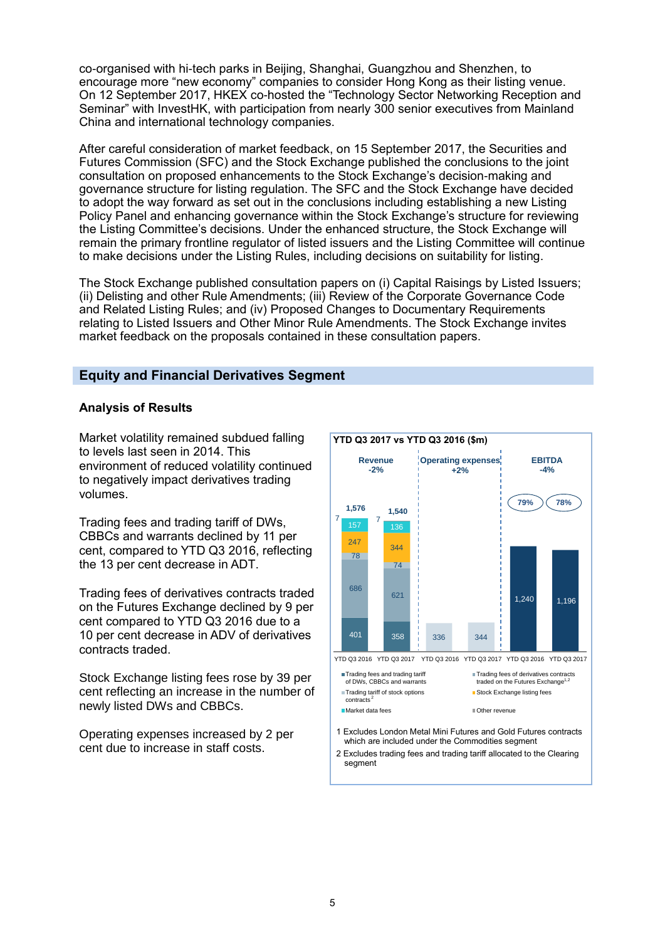co-organised with hi-tech parks in Beijing, Shanghai, Guangzhou and Shenzhen, to encourage more "new economy" companies to consider Hong Kong as their listing venue. On 12 September 2017, HKEX co-hosted the "Technology Sector Networking Reception and Seminar" with InvestHK, with participation from nearly 300 senior executives from Mainland China and international technology companies.

After careful consideration of market feedback, on 15 September 2017, the Securities and Futures Commission (SFC) and the Stock Exchange published the conclusions to the joint consultation on proposed enhancements to the Stock Exchange's decision-making and governance structure for listing regulation. The SFC and the Stock Exchange have decided to adopt the way forward as set out in the conclusions including establishing a new Listing Policy Panel and enhancing governance within the Stock Exchange's structure for reviewing the Listing Committee's decisions. Under the enhanced structure, the Stock Exchange will remain the primary frontline regulator of listed issuers and the Listing Committee will continue to make decisions under the Listing Rules, including decisions on suitability for listing.

The Stock Exchange published consultation papers on (i) Capital Raisings by Listed Issuers; (ii) Delisting and other Rule Amendments; (iii) Review of the Corporate Governance Code and Related Listing Rules; and (iv) Proposed Changes to Documentary Requirements relating to Listed Issuers and Other Minor Rule Amendments. The Stock Exchange invites market feedback on the proposals contained in these consultation papers.

# **Equity and Financial Derivatives Segment**

#### **Analysis of Results**

Market volatility remained subdued falling to levels last seen in 2014. This environment of reduced volatility continued to negatively impact derivatives trading volumes.

Trading fees and trading tariff of DWs, CBBCs and warrants declined by 11 per cent, compared to YTD Q3 2016, reflecting the 13 per cent decrease in ADT.

Trading fees of derivatives contracts traded on the Futures Exchange declined by 9 per cent compared to YTD Q3 2016 due to a 10 per cent decrease in ADV of derivatives contracts traded.

Stock Exchange listing fees rose by 39 per cent reflecting an increase in the number of newly listed DWs and CBBCs.

Operating expenses increased by 2 per cent due to increase in staff costs.

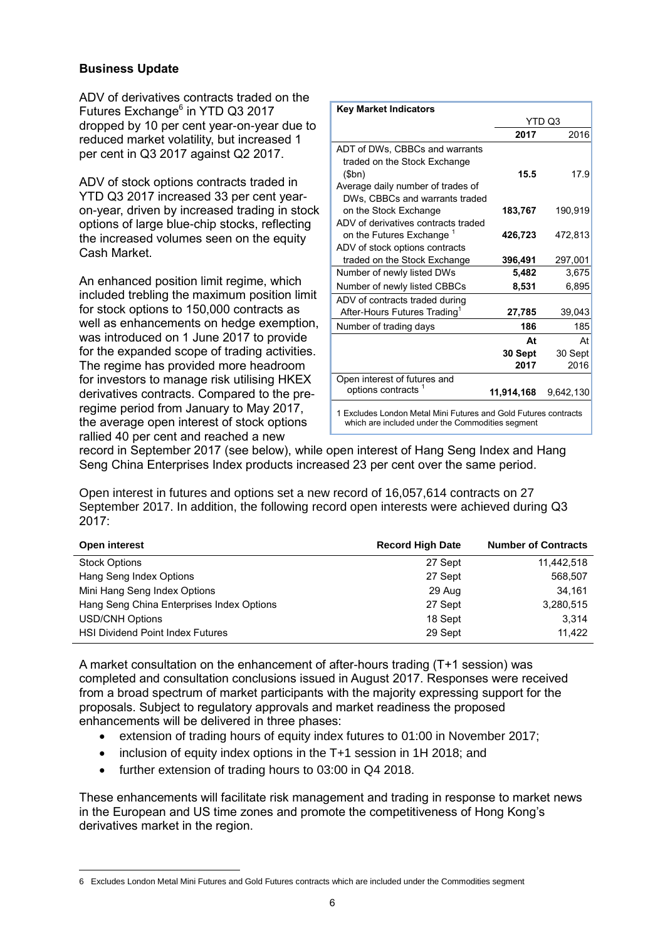#### **Business Update**

ADV of derivatives contracts traded on the Futures Exchange<sup>6</sup> in YTD Q3 2017 dropped by 10 per cent year-on-year due to reduced market volatility, but increased 1 per cent in Q3 2017 against Q2 2017.

ADV of stock options contracts traded in YTD Q3 2017 increased 33 per cent yearon-year, driven by increased trading in stock options of large blue-chip stocks, reflecting the increased volumes seen on the equity Cash Market.

An enhanced position limit regime, which included trebling the maximum position limit for stock options to 150,000 contracts as well as enhancements on hedge exemption, was introduced on 1 June 2017 to provide for the expanded scope of trading activities. The regime has provided more headroom for investors to manage risk utilising HKEX derivatives contracts. Compared to the preregime period from January to May 2017, the average open interest of stock options rallied 40 per cent and reached a new

| <b>Key Market Indicators</b>                                                                                        |            |           |  |  |
|---------------------------------------------------------------------------------------------------------------------|------------|-----------|--|--|
|                                                                                                                     |            | YTD Q3    |  |  |
|                                                                                                                     | 2017       | 2016      |  |  |
| ADT of DWs, CBBCs and warrants<br>traded on the Stock Exchange<br>\$bn)                                             | 15.5       | 17.9      |  |  |
| Average daily number of trades of<br>DWs, CBBCs and warrants traded                                                 |            |           |  |  |
| on the Stock Exchange                                                                                               | 183,767    | 190,919   |  |  |
| ADV of derivatives contracts traded<br>on the Futures Exchange <sup>1</sup>                                         | 426,723    | 472,813   |  |  |
| ADV of stock options contracts<br>traded on the Stock Exchange                                                      | 396,491    | 297,001   |  |  |
| Number of newly listed DWs                                                                                          | 5,482      | 3,675     |  |  |
| Number of newly listed CBBCs                                                                                        | 8,531      | 6,895     |  |  |
| ADV of contracts traded during                                                                                      |            |           |  |  |
| After-Hours Futures Trading <sup>1</sup>                                                                            | 27,785     | 39,043    |  |  |
| Number of trading days                                                                                              | 186        | 185       |  |  |
|                                                                                                                     | At         | At        |  |  |
|                                                                                                                     | 30 Sept    | 30 Sept   |  |  |
|                                                                                                                     | 2017       | 2016      |  |  |
| Open interest of futures and                                                                                        |            |           |  |  |
| options contracts <sup>1</sup>                                                                                      | 11,914,168 | 9,642,130 |  |  |
| 1 Excludes London Metal Mini Futures and Gold Futures contracts<br>which are included under the Commodities segment |            |           |  |  |

record in September 2017 (see below), while open interest of Hang Seng Index and Hang Seng China Enterprises Index products increased 23 per cent over the same period.

Open interest in futures and options set a new record of 16,057,614 contracts on 27 September 2017. In addition, the following record open interests were achieved during Q3 2017:

| Open interest                             | <b>Record High Date</b> | <b>Number of Contracts</b> |
|-------------------------------------------|-------------------------|----------------------------|
| <b>Stock Options</b>                      | 27 Sept                 | 11,442,518                 |
| Hang Seng Index Options                   | 27 Sept                 | 568,507                    |
| Mini Hang Seng Index Options              | 29 Aug                  | 34.161                     |
| Hang Seng China Enterprises Index Options | 27 Sept                 | 3,280,515                  |
| <b>USD/CNH Options</b>                    | 18 Sept                 | 3.314                      |
| <b>HSI Dividend Point Index Futures</b>   | 29 Sept                 | 11.422                     |

A market consultation on the enhancement of after-hours trading (T+1 session) was completed and consultation conclusions issued in August 2017. Responses were received from a broad spectrum of market participants with the majority expressing support for the proposals. Subject to regulatory approvals and market readiness the proposed enhancements will be delivered in three phases:

- extension of trading hours of equity index futures to 01:00 in November 2017;
- inclusion of equity index options in the T+1 session in 1H 2018; and
- further extension of trading hours to 03:00 in Q4 2018.

These enhancements will facilitate risk management and trading in response to market news in the European and US time zones and promote the competitiveness of Hong Kong's derivatives market in the region.

 $\overline{a}$ 6 Excludes London Metal Mini Futures and Gold Futures contracts which are included under the Commodities segment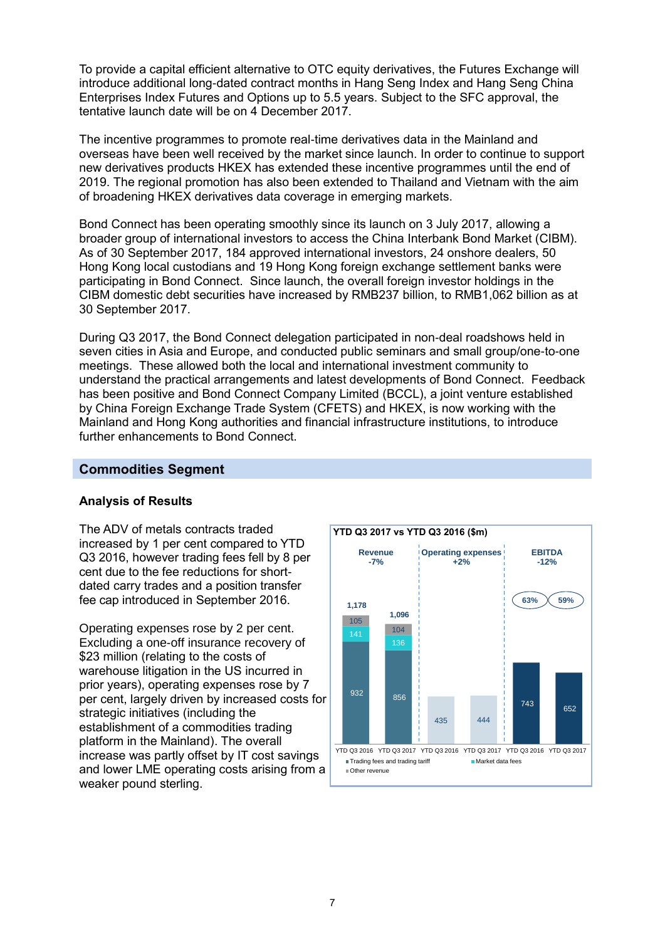To provide a capital efficient alternative to OTC equity derivatives, the Futures Exchange will introduce additional long-dated contract months in Hang Seng Index and Hang Seng China Enterprises Index Futures and Options up to 5.5 years. Subject to the SFC approval, the tentative launch date will be on 4 December 2017.

The incentive programmes to promote real-time derivatives data in the Mainland and overseas have been well received by the market since launch. In order to continue to support new derivatives products HKEX has extended these incentive programmes until the end of 2019. The regional promotion has also been extended to Thailand and Vietnam with the aim of broadening HKEX derivatives data coverage in emerging markets.

Bond Connect has been operating smoothly since its launch on 3 July 2017, allowing a broader group of international investors to access the China Interbank Bond Market (CIBM). As of 30 September 2017, 184 approved international investors, 24 onshore dealers, 50 Hong Kong local custodians and 19 Hong Kong foreign exchange settlement banks were participating in Bond Connect. Since launch, the overall foreign investor holdings in the CIBM domestic debt securities have increased by RMB237 billion, to RMB1,062 billion as at 30 September 2017.

During Q3 2017, the Bond Connect delegation participated in non-deal roadshows held in seven cities in Asia and Europe, and conducted public seminars and small group/one-to-one meetings. These allowed both the local and international investment community to understand the practical arrangements and latest developments of Bond Connect. Feedback has been positive and Bond Connect Company Limited (BCCL), a joint venture established by China Foreign Exchange Trade System (CFETS) and HKEX, is now working with the Mainland and Hong Kong authorities and financial infrastructure institutions, to introduce further enhancements to Bond Connect.

#### **Commodities Segment**

#### **Analysis of Results**

The ADV of metals contracts traded increased by 1 per cent compared to YTD Q3 2016, however trading fees fell by 8 per cent due to the fee reductions for shortdated carry trades and a position transfer fee cap introduced in September 2016.

Operating expenses rose by 2 per cent. Excluding a one-off insurance recovery of \$23 million (relating to the costs of warehouse litigation in the US incurred in prior years), operating expenses rose by 7 per cent, largely driven by increased costs for strategic initiatives (including the establishment of a commodities trading platform in the Mainland). The overall increase was partly offset by IT cost savings and lower LME operating costs arising from a weaker pound sterling.

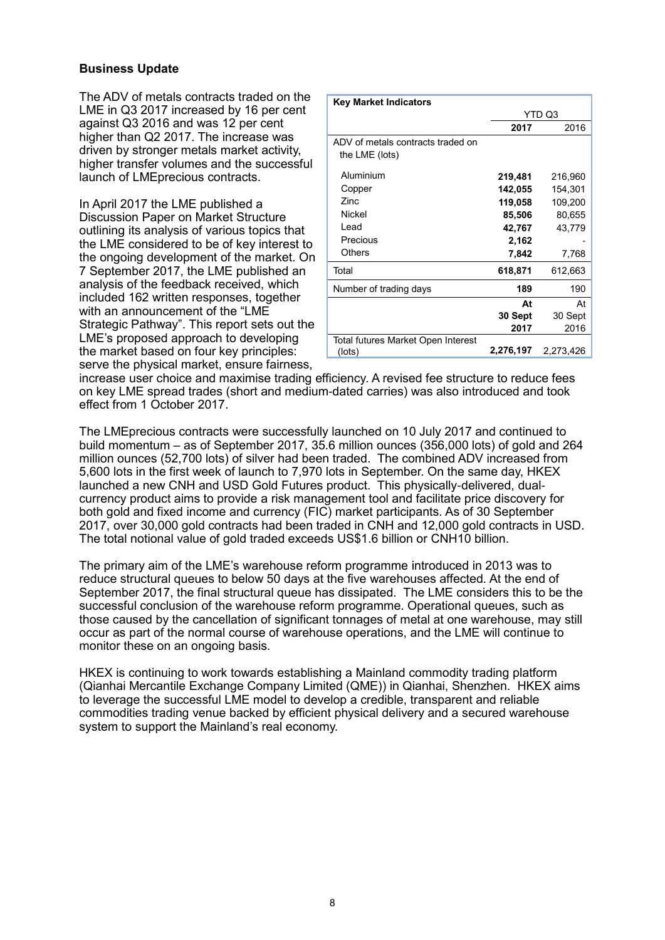#### **Business Update**

The ADV of metals contracts traded on the LME in Q3 2017 increased by 16 per cent against Q3 2016 and was 12 per cent higher than Q2 2017. The increase was driven by stronger metals market activity, higher transfer volumes and the successful launch of LMEprecious contracts.

In April 2017 the LME published a Discussion Paper on Market Structure outlining its analysis of various topics that the LME considered to be of key interest to the ongoing development of the market. On 7 September 2017, the LME published an analysis of the feedback received, which included 162 written responses, together with an announcement of the "LME Strategic Pathway". This report sets out the LME's proposed approach to developing the market based on four key principles: serve the physical market, ensure fairness,

| <b>Key Market Indicators</b>       |           |           |
|------------------------------------|-----------|-----------|
|                                    |           | YTD Q3    |
|                                    | 2017      | 2016      |
| ADV of metals contracts traded on  |           |           |
| the LME (lots)                     |           |           |
| Aluminium                          | 219,481   | 216,960   |
| Copper                             | 142,055   | 154,301   |
| Zinc.                              | 119,058   | 109,200   |
| Nickel                             | 85,506    | 80,655    |
| Lead                               | 42,767    | 43,779    |
| Precious                           | 2,162     |           |
| Others                             | 7,842     | 7,768     |
| Total                              | 618,871   | 612,663   |
| Number of trading days             | 189       | 190       |
|                                    | At        | At        |
|                                    | 30 Sept   | 30 Sept   |
|                                    | 2017      | 2016      |
| Total futures Market Open Interest |           |           |
| (lots)                             | 2,276,197 | 2,273,426 |

increase user choice and maximise trading efficiency. A revised fee structure to reduce fees on key LME spread trades (short and medium-dated carries) was also introduced and took effect from 1 October 2017.

The LMEprecious contracts were successfully launched on 10 July 2017 and continued to build momentum – as of September 2017, 35.6 million ounces (356,000 lots) of gold and 264 million ounces (52,700 lots) of silver had been traded. The combined ADV increased from 5,600 lots in the first week of launch to 7,970 lots in September. On the same day, HKEX launched a new CNH and USD Gold Futures product. This physically-delivered, dualcurrency product aims to provide a risk management tool and facilitate price discovery for both gold and fixed income and currency (FIC) market participants. As of 30 September 2017, over 30,000 gold contracts had been traded in CNH and 12,000 gold contracts in USD. The total notional value of gold traded exceeds US\$1.6 billion or CNH10 billion.

The primary aim of the LME's warehouse reform programme introduced in 2013 was to reduce structural queues to below 50 days at the five warehouses affected. At the end of September 2017, the final structural queue has dissipated. The LME considers this to be the successful conclusion of the warehouse reform programme. Operational queues, such as those caused by the cancellation of significant tonnages of metal at one warehouse, may still occur as part of the normal course of warehouse operations, and the LME will continue to monitor these on an ongoing basis.

HKEX is continuing to work towards establishing a Mainland commodity trading platform (Qianhai Mercantile Exchange Company Limited (QME)) in Qianhai, Shenzhen. HKEX aims to leverage the successful LME model to develop a credible, transparent and reliable commodities trading venue backed by efficient physical delivery and a secured warehouse system to support the Mainland's real economy.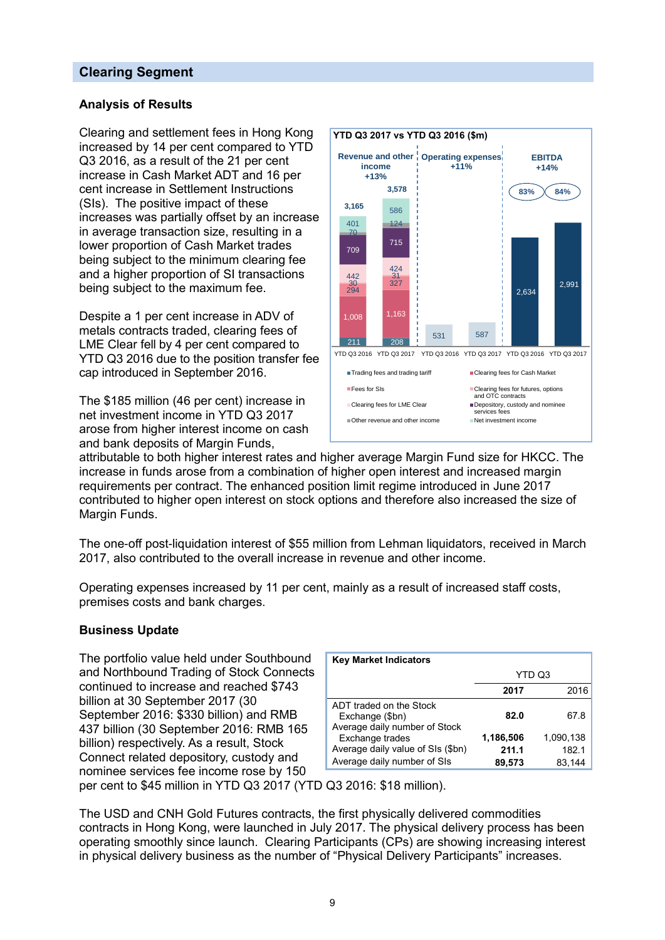# **Clearing Segment**

#### **Analysis of Results**

Clearing and settlement fees in Hong Kong increased by 14 per cent compared to YTD Q3 2016, as a result of the 21 per cent increase in Cash Market ADT and 16 per cent increase in Settlement Instructions (SIs). The positive impact of these increases was partially offset by an increase in average transaction size, resulting in a lower proportion of Cash Market trades being subject to the minimum clearing fee and a higher proportion of SI transactions being subject to the maximum fee.

Despite a 1 per cent increase in ADV of metals contracts traded, clearing fees of LME Clear fell by 4 per cent compared to YTD Q3 2016 due to the position transfer fee cap introduced in September 2016.

The \$185 million (46 per cent) increase in net investment income in YTD Q3 2017 arose from higher interest income on cash and bank deposits of Margin Funds,



attributable to both higher interest rates and higher average Margin Fund size for HKCC. The increase in funds arose from a combination of higher open interest and increased margin requirements per contract. The enhanced position limit regime introduced in June 2017 contributed to higher open interest on stock options and therefore also increased the size of Margin Funds.

The one-off post-liquidation interest of \$55 million from Lehman liquidators, received in March 2017, also contributed to the overall increase in revenue and other income.

Operating expenses increased by 11 per cent, mainly as a result of increased staff costs, premises costs and bank charges.

#### **Business Update**

The portfolio value held under Southbound and Northbound Trading of Stock Connects continued to increase and reached \$743 billion at 30 September 2017 (30 September 2016: \$330 billion) and RMB 437 billion (30 September 2016: RMB 165 billion) respectively. As a result, Stock Connect related depository, custody and nominee services fee income rose by 150

| <b>Key Market Indicators</b>                                                        |                              |                              |
|-------------------------------------------------------------------------------------|------------------------------|------------------------------|
|                                                                                     | YTD Q3                       |                              |
|                                                                                     | 2017                         | 2016                         |
| ADT traded on the Stock<br>Exchange (\$bn)<br>Average daily number of Stock         | 82.0                         | 67.8                         |
| Exchange trades<br>Average daily value of SIs (\$bn)<br>Average daily number of SIs | 1,186,506<br>211.1<br>89,573 | 1,090,138<br>182.1<br>83,144 |

per cent to \$45 million in YTD Q3 2017 (YTD Q3 2016: \$18 million).

The USD and CNH Gold Futures contracts, the first physically delivered commodities contracts in Hong Kong, were launched in July 2017. The physical delivery process has been operating smoothly since launch. Clearing Participants (CPs) are showing increasing interest in physical delivery business as the number of "Physical Delivery Participants" increases.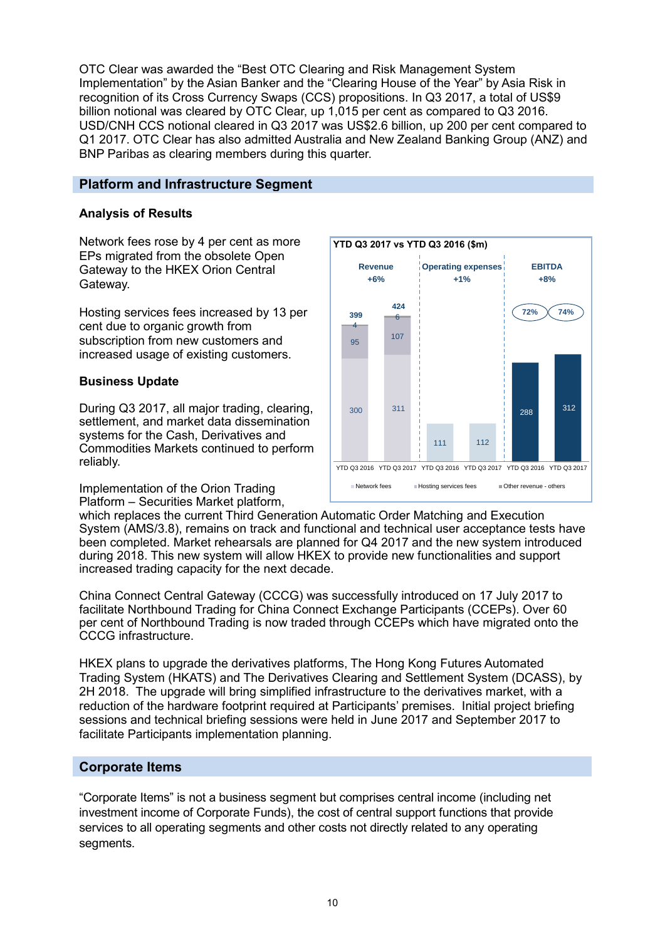OTC Clear was awarded the "Best OTC Clearing and Risk Management System Implementation" by the Asian Banker and the "Clearing House of the Year" by Asia Risk in recognition of its Cross Currency Swaps (CCS) propositions. In Q3 2017, a total of US\$9 billion notional was cleared by OTC Clear, up 1,015 per cent as compared to Q3 2016. USD/CNH CCS notional cleared in Q3 2017 was US\$2.6 billion, up 200 per cent compared to Q1 2017. OTC Clear has also admitted Australia and New Zealand Banking Group (ANZ) and BNP Paribas as clearing members during this quarter.

## **Platform and Infrastructure Segment**

## **Analysis of Results**

Network fees rose by 4 per cent as more EPs migrated from the obsolete Open Gateway to the HKEX Orion Central Gateway.

Hosting services fees increased by 13 per cent due to organic growth from subscription from new customers and increased usage of existing customers.

#### **Business Update**

During Q3 2017, all major trading, clearing, settlement, and market data dissemination systems for the Cash, Derivatives and Commodities Markets continued to perform reliably.

Implementation of the Orion Trading Platform – Securities Market platform,



which replaces the current Third Generation Automatic Order Matching and Execution System (AMS/3.8), remains on track and functional and technical user acceptance tests have been completed. Market rehearsals are planned for Q4 2017 and the new system introduced during 2018. This new system will allow HKEX to provide new functionalities and support increased trading capacity for the next decade.

China Connect Central Gateway (CCCG) was successfully introduced on 17 July 2017 to facilitate Northbound Trading for China Connect Exchange Participants (CCEPs). Over 60 per cent of Northbound Trading is now traded through CCEPs which have migrated onto the CCCG infrastructure.

HKEX plans to upgrade the derivatives platforms, The Hong Kong Futures Automated Trading System (HKATS) and The Derivatives Clearing and Settlement System (DCASS), by 2H 2018. The upgrade will bring simplified infrastructure to the derivatives market, with a reduction of the hardware footprint required at Participants' premises. Initial project briefing sessions and technical briefing sessions were held in June 2017 and September 2017 to facilitate Participants implementation planning.

# **Corporate Items**

"Corporate Items" is not a business segment but comprises central income (including net investment income of Corporate Funds), the cost of central support functions that provide services to all operating segments and other costs not directly related to any operating segments.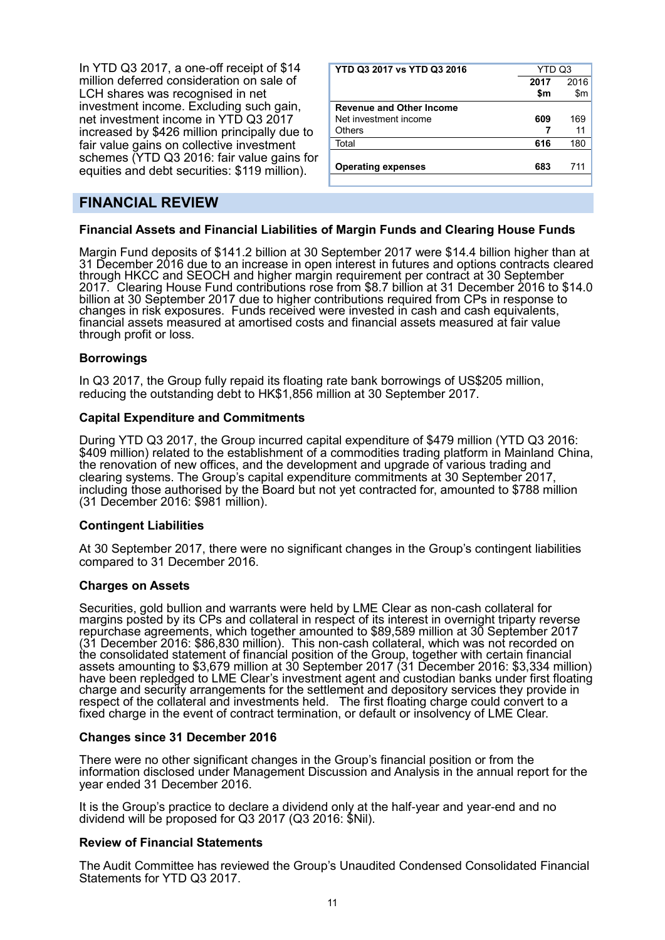In YTD Q3 2017, a one-off receipt of \$14 million deferred consideration on sale of LCH shares was recognised in net investment income. Excluding such gain, net investment income in YTD Q3 2017 increased by \$426 million principally due to fair value gains on collective investment schemes (YTD Q3 2016: fair value gains for equities and debt securities: \$119 million).

| YTD Q3 2017 vs YTD Q3 2016      | YTD Q3 |      |
|---------------------------------|--------|------|
|                                 | 2017   | 2016 |
|                                 | \$m    | \$m  |
| <b>Revenue and Other Income</b> |        |      |
| Net investment income           | 609    | 169  |
| <b>Others</b>                   |        | 11   |
| Total                           | 616    | 180  |
| <b>Operating expenses</b>       | 683    | 711  |

# **FINANCIAL REVIEW**

#### **Financial Assets and Financial Liabilities of Margin Funds and Clearing House Funds**

Margin Fund deposits of \$141.2 billion at 30 September 2017 were \$14.4 billion higher than at 31 December 2016 due to an increase in open interest in futures and options contracts cleared through HKCC and SEOCH and higher margin requirement per contract at 30 September 2017. Clearing House Fund contributions rose from \$8.7 billion at 31 December 2016 to \$14.0 billion at 30 September 2017 due to higher contributions required from CPs in response to changes in risk exposures. Funds received were invested in cash and cash equivalents, financial assets measured at amortised costs and financial assets measured at fair value through profit or loss.

#### **Borrowings**

In Q3 2017, the Group fully repaid its floating rate bank borrowings of US\$205 million, reducing the outstanding debt to HK\$1,856 million at 30 September 2017.

#### **Capital Expenditure and Commitments**

During YTD Q3 2017, the Group incurred capital expenditure of \$479 million (YTD Q3 2016: \$409 million) related to the establishment of a commodities trading platform in Mainland China, the renovation of new offices, and the development and upgrade of various trading and clearing systems. The Group's capital expenditure commitments at 30 September 2017, including those authorised by the Board but not yet contracted for, amounted to \$788 million (31 December 2016: \$981 million).

#### **Contingent Liabilities**

At 30 September 2017, there were no significant changes in the Group's contingent liabilities compared to 31 December 2016.

#### **Charges on Assets**

Securities, gold bullion and warrants were held by LME Clear as non-cash collateral for margins posted by its CPs and collateral in respect of its interest in overnight triparty reverse repurchase agreements, which together amounted to \$89,589 million at 30 September 2017 (31 December 2016: \$86,830 million). This non-cash collateral, which was not recorded on the consolidated statement of financial position of the Group, together with certain financial assets amounting to \$3,679 million at 30 September 2017 (31 December 2016: \$3,334 million) have been repledged to LME Clear's investment agent and custodian banks under first floating charge and security arrangements for the settlement and depository services they provide in respect of the collateral and investments held. The first floating charge could convert to a fixed charge in the event of contract termination, or default or insolvency of LME Clear.

#### **Changes since 31 December 2016**

There were no other significant changes in the Group's financial position or from the information disclosed under Management Discussion and Analysis in the annual report for the year ended 31 December 2016.

It is the Group's practice to declare a dividend only at the half-year and year-end and no dividend will be proposed for Q3 2017 (Q3 2016: \$Nil).

#### **Review of Financial Statements**

The Audit Committee has reviewed the Group's Unaudited Condensed Consolidated Financial Statements for YTD Q3 2017.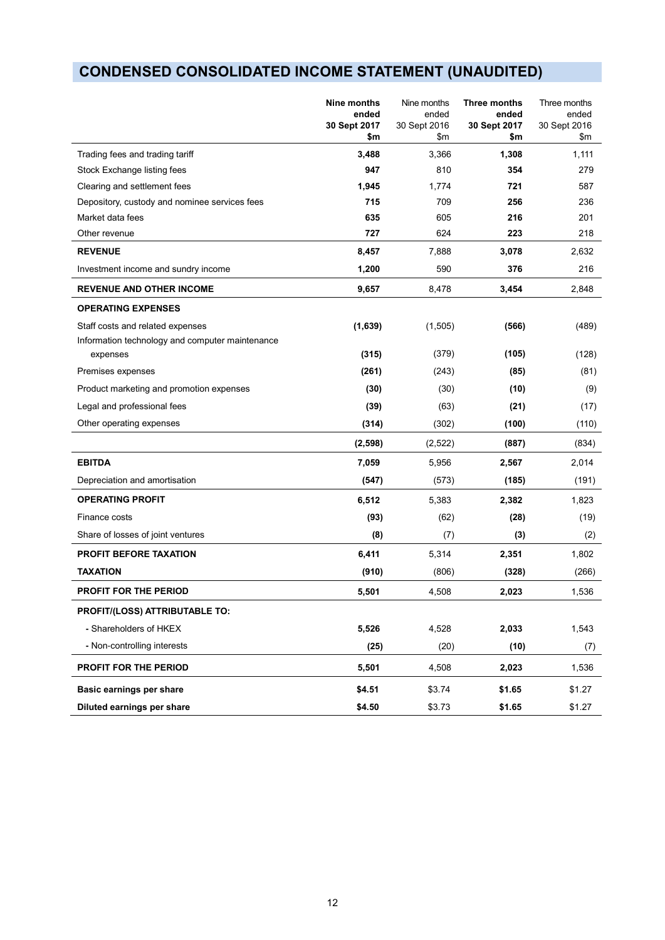# **CONDENSED CONSOLIDATED INCOME STATEMENT (UNAUDITED)**

|                                                 | Nine months<br>ended<br>30 Sept 2017<br>\$m | Nine months<br>ended<br>30 Sept 2016<br>\$m | Three months<br>ended<br>30 Sept 2017<br>\$m | Three months<br>ended<br>30 Sept 2016<br>\$m |
|-------------------------------------------------|---------------------------------------------|---------------------------------------------|----------------------------------------------|----------------------------------------------|
| Trading fees and trading tariff                 | 3,488                                       | 3,366                                       | 1,308                                        | 1,111                                        |
| Stock Exchange listing fees                     | 947                                         | 810                                         | 354                                          | 279                                          |
| Clearing and settlement fees                    | 1,945                                       | 1,774                                       | 721                                          | 587                                          |
| Depository, custody and nominee services fees   | 715                                         | 709                                         | 256                                          | 236                                          |
| Market data fees                                | 635                                         | 605                                         | 216                                          | 201                                          |
| Other revenue                                   | 727                                         | 624                                         | 223                                          | 218                                          |
| <b>REVENUE</b>                                  | 8,457                                       | 7,888                                       | 3,078                                        | 2.632                                        |
| Investment income and sundry income             | 1,200                                       | 590                                         | 376                                          | 216                                          |
| <b>REVENUE AND OTHER INCOME</b>                 | 9,657                                       | 8,478                                       | 3,454                                        | 2,848                                        |
| <b>OPERATING EXPENSES</b>                       |                                             |                                             |                                              |                                              |
| Staff costs and related expenses                | (1,639)                                     | (1,505)                                     | (566)                                        | (489)                                        |
| Information technology and computer maintenance |                                             |                                             |                                              |                                              |
| expenses                                        | (315)                                       | (379)                                       | (105)                                        | (128)                                        |
| Premises expenses                               | (261)                                       | (243)                                       | (85)                                         | (81)                                         |
| Product marketing and promotion expenses        | (30)                                        | (30)                                        | (10)                                         | (9)                                          |
| Legal and professional fees                     | (39)                                        | (63)                                        | (21)                                         | (17)                                         |
| Other operating expenses                        | (314)                                       | (302)                                       | (100)                                        | (110)                                        |
|                                                 | (2,598)                                     | (2,522)                                     | (887)                                        | (834)                                        |
| <b>EBITDA</b>                                   | 7,059                                       | 5,956                                       | 2,567                                        | 2,014                                        |
| Depreciation and amortisation                   | (547)                                       | (573)                                       | (185)                                        | (191)                                        |
| <b>OPERATING PROFIT</b>                         | 6,512                                       | 5,383                                       | 2,382                                        | 1,823                                        |
| Finance costs                                   | (93)                                        | (62)                                        | (28)                                         | (19)                                         |
| Share of losses of joint ventures               | (8)                                         | (7)                                         | (3)                                          | (2)                                          |
| <b>PROFIT BEFORE TAXATION</b>                   | 6,411                                       | 5,314                                       | 2,351                                        | 1,802                                        |
| <b>TAXATION</b>                                 | (910)                                       | (806)                                       | (328)                                        | (266)                                        |
| <b>PROFIT FOR THE PERIOD</b>                    | 5,501                                       | 4,508                                       | 2,023                                        | 1,536                                        |
| PROFIT/(LOSS) ATTRIBUTABLE TO:                  |                                             |                                             |                                              |                                              |
| - Shareholders of HKEX                          | 5,526                                       | 4,528                                       | 2,033                                        | 1,543                                        |
| - Non-controlling interests                     | (25)                                        | (20)                                        | (10)                                         | (7)                                          |
| PROFIT FOR THE PERIOD                           | 5,501                                       | 4,508                                       | 2,023                                        | 1,536                                        |
| Basic earnings per share                        | \$4.51                                      | \$3.74                                      | \$1.65                                       | \$1.27                                       |
| Diluted earnings per share                      | \$4.50                                      | \$3.73                                      | \$1.65                                       | \$1.27                                       |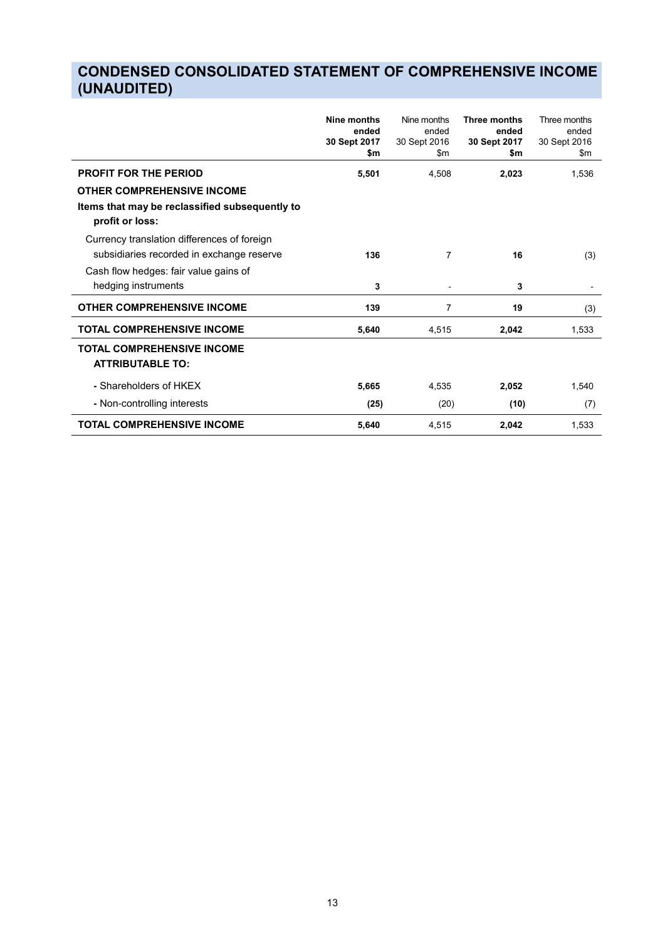# **CONDENSED CONSOLIDATED STATEMENT OF COMPREHENSIVE INCOME (UNAUDITED)**

|                                                                                                                                                          | Nine months<br>ended<br>30 Sept 2017<br>\$m | Nine months<br>ended<br>30 Sept 2016<br>\$m | Three months<br>ended<br>30 Sept 2017<br>\$m | Three months<br>ended<br>30 Sept 2016<br>\$m |
|----------------------------------------------------------------------------------------------------------------------------------------------------------|---------------------------------------------|---------------------------------------------|----------------------------------------------|----------------------------------------------|
| <b>PROFIT FOR THE PERIOD</b><br><b>OTHER COMPREHENSIVE INCOME</b><br>Items that may be reclassified subsequently to<br>profit or loss:                   | 5,501                                       | 4,508                                       | 2,023                                        | 1,536                                        |
| Currency translation differences of foreign<br>subsidiaries recorded in exchange reserve<br>Cash flow hedges: fair value gains of<br>hedging instruments | 136<br>3                                    | $\overline{7}$<br>$\blacksquare$            | 16<br>3                                      | (3)                                          |
| <b>OTHER COMPREHENSIVE INCOME</b>                                                                                                                        | 139                                         | 7                                           | 19                                           | (3)                                          |
| <b>TOTAL COMPREHENSIVE INCOME</b>                                                                                                                        | 5,640                                       | 4,515                                       | 2,042                                        | 1,533                                        |
| <b>TOTAL COMPREHENSIVE INCOME</b><br><b>ATTRIBUTABLE TO:</b>                                                                                             |                                             |                                             |                                              |                                              |
| - Shareholders of HKEX                                                                                                                                   | 5,665                                       | 4,535                                       | 2,052                                        | 1,540                                        |
| - Non-controlling interests                                                                                                                              | (25)                                        | (20)                                        | (10)                                         | (7)                                          |
| <b>TOTAL COMPREHENSIVE INCOME</b>                                                                                                                        | 5,640                                       | 4,515                                       | 2,042                                        | 1,533                                        |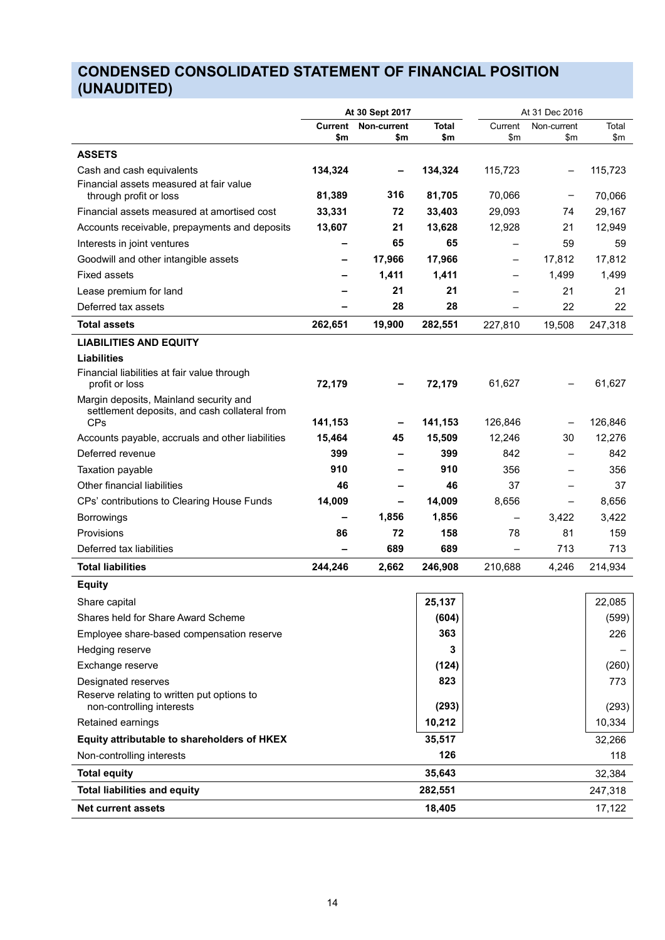# **CONDENSED CONSOLIDATED STATEMENT OF FINANCIAL POSITION (UNAUDITED)**

|                                                                                         |                | At 30 Sept 2017    |              |                          | At 31 Dec 2016     |              |
|-----------------------------------------------------------------------------------------|----------------|--------------------|--------------|--------------------------|--------------------|--------------|
|                                                                                         | Current<br>\$m | Non-current<br>\$m | Total<br>\$m | Current<br>\$m           | Non-current<br>\$m | Total<br>\$m |
| <b>ASSETS</b>                                                                           |                |                    |              |                          |                    |              |
|                                                                                         | 134,324        |                    | 134,324      |                          |                    |              |
| Cash and cash equivalents<br>Financial assets measured at fair value                    |                |                    |              | 115,723                  | $\qquad \qquad$    | 115,723      |
| through profit or loss                                                                  | 81,389         | 316                | 81,705       | 70,066                   |                    | 70,066       |
| Financial assets measured at amortised cost                                             | 33,331         | 72                 | 33,403       | 29,093                   | 74                 | 29,167       |
| Accounts receivable, prepayments and deposits                                           | 13,607         | 21                 | 13,628       | 12,928                   | 21                 | 12,949       |
| Interests in joint ventures                                                             |                | 65                 | 65           |                          | 59                 | 59           |
| Goodwill and other intangible assets                                                    |                | 17,966             | 17,966       | $\qquad \qquad -$        | 17,812             | 17,812       |
| <b>Fixed assets</b>                                                                     |                | 1,411              | 1,411        | $\overline{\phantom{0}}$ | 1,499              | 1,499        |
| Lease premium for land                                                                  |                | 21                 | 21           | -                        | 21                 | 21           |
| Deferred tax assets                                                                     |                | 28                 | 28           | $\overline{\phantom{0}}$ | 22                 | 22           |
| <b>Total assets</b>                                                                     | 262,651        | 19,900             | 282,551      | 227,810                  | 19,508             | 247,318      |
| <b>LIABILITIES AND EQUITY</b>                                                           |                |                    |              |                          |                    |              |
| <b>Liabilities</b>                                                                      |                |                    |              |                          |                    |              |
| Financial liabilities at fair value through                                             |                |                    |              |                          |                    |              |
| profit or loss                                                                          | 72,179         |                    | 72,179       | 61,627                   |                    | 61,627       |
| Margin deposits, Mainland security and<br>settlement deposits, and cash collateral from |                |                    |              |                          |                    |              |
| <b>CPs</b>                                                                              | 141,153        |                    | 141,153      | 126,846                  |                    | 126,846      |
| Accounts payable, accruals and other liabilities                                        | 15,464         | 45                 | 15,509       | 12,246                   | 30                 | 12,276       |
| Deferred revenue                                                                        | 399            |                    | 399          | 842                      |                    | 842          |
| Taxation payable                                                                        | 910            |                    | 910          | 356                      |                    | 356          |
| Other financial liabilities                                                             | 46             |                    | 46           | 37                       |                    | 37           |
| CPs' contributions to Clearing House Funds                                              | 14,009         |                    | 14,009       | 8,656                    | $\qquad \qquad -$  | 8,656        |
| <b>Borrowings</b>                                                                       |                | 1,856              | 1,856        | $\overline{\phantom{0}}$ | 3,422              | 3,422        |
| Provisions                                                                              | 86             | 72                 | 158          | 78                       | 81                 | 159          |
| Deferred tax liabilities                                                                |                | 689                | 689          | $\qquad \qquad -$        | 713                | 713          |
| <b>Total liabilities</b>                                                                | 244,246        | 2,662              | 246,908      | 210,688                  | 4,246              | 214,934      |
| <b>Equity</b>                                                                           |                |                    |              |                          |                    |              |
| Share capital                                                                           |                |                    | 25.137       |                          |                    | 22.085       |
| Shares held for Share Award Scheme                                                      |                |                    | (604)        |                          |                    | (599)        |
| Employee share-based compensation reserve                                               |                |                    | 363          |                          |                    | 226          |
| Hedging reserve                                                                         |                |                    | 3            |                          |                    |              |
| Exchange reserve                                                                        |                |                    | (124)        |                          |                    | (260)        |
| Designated reserves                                                                     |                |                    | 823          |                          |                    | 773          |
| Reserve relating to written put options to                                              |                |                    |              |                          |                    |              |
| non-controlling interests                                                               |                |                    | (293)        |                          |                    | (293)        |
| Retained earnings                                                                       |                |                    | 10,212       |                          |                    | 10,334       |
| Equity attributable to shareholders of HKEX                                             |                |                    | 35,517       |                          |                    | 32,266       |
| Non-controlling interests                                                               |                |                    | 126          |                          |                    | 118          |
| <b>Total equity</b>                                                                     |                |                    | 35,643       |                          |                    | 32,384       |
| <b>Total liabilities and equity</b>                                                     |                |                    | 282,551      |                          |                    | 247,318      |
| <b>Net current assets</b>                                                               |                |                    | 18,405       |                          |                    | 17,122       |